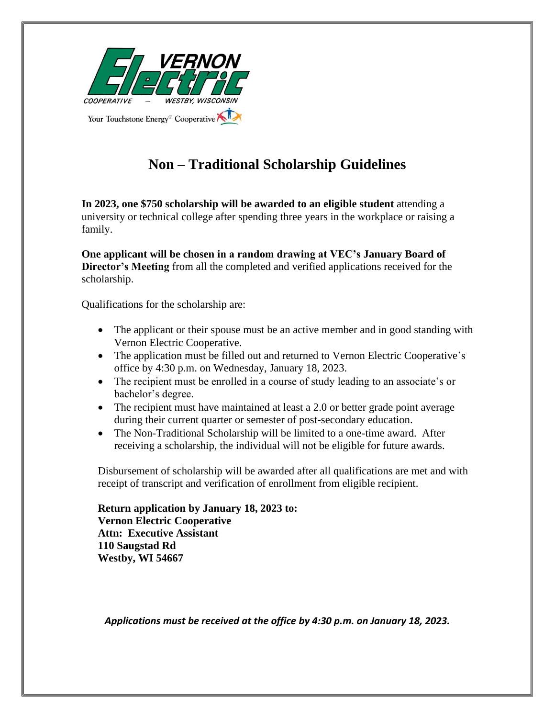

## **Non – Traditional Scholarship Guidelines**

**In 2023, one \$750 scholarship will be awarded to an eligible student** attending a university or technical college after spending three years in the workplace or raising a family.

**One applicant will be chosen in a random drawing at VEC's January Board of Director's Meeting** from all the completed and verified applications received for the scholarship.

Qualifications for the scholarship are:

- The applicant or their spouse must be an active member and in good standing with Vernon Electric Cooperative.
- The application must be filled out and returned to Vernon Electric Cooperative's office by 4:30 p.m. on Wednesday, January 18, 2023.
- The recipient must be enrolled in a course of study leading to an associate's or bachelor's degree.
- The recipient must have maintained at least a 2.0 or better grade point average during their current quarter or semester of post-secondary education.
- The Non-Traditional Scholarship will be limited to a one-time award. After receiving a scholarship, the individual will not be eligible for future awards.

Disbursement of scholarship will be awarded after all qualifications are met and with receipt of transcript and verification of enrollment from eligible recipient.

**Return application by January 18, 2023 to: Vernon Electric Cooperative Attn: Executive Assistant 110 Saugstad Rd Westby, WI 54667**

*Applications must be received at the office by 4:30 p.m. on January 18, 2023.*